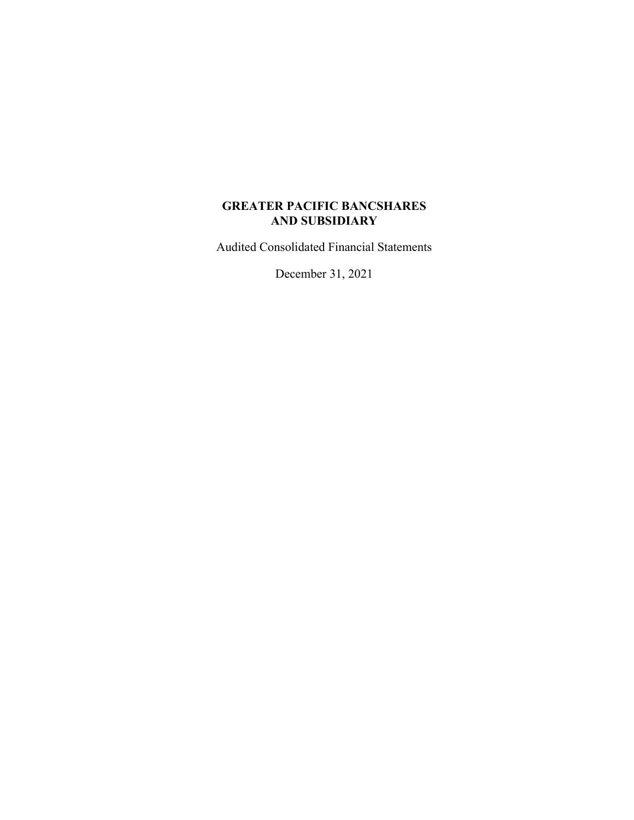Audited Consolidated Financial Statements

December 31, 2021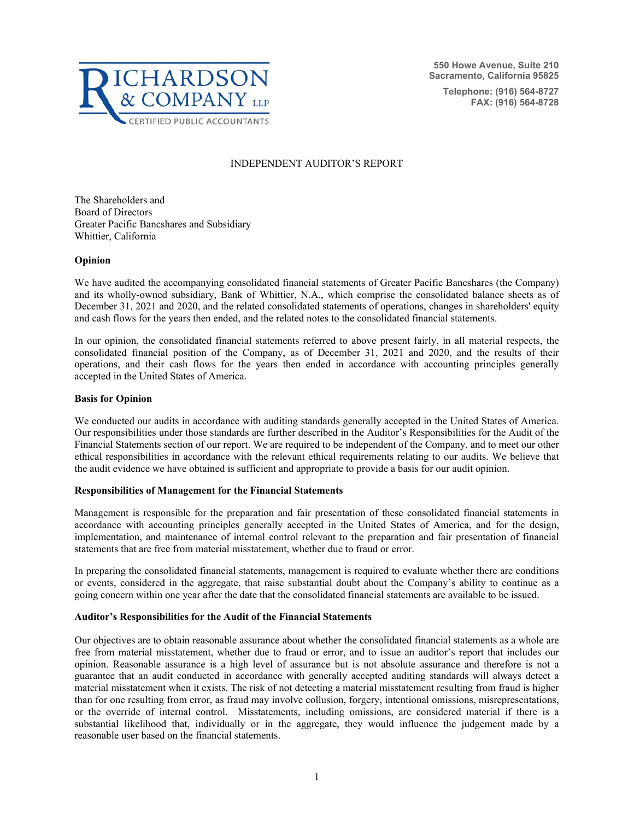

**Telephone: (916) 564-8727 FAX: (916) 564-8728** 

### INDEPENDENT AUDITOR'S REPORT

The Shareholders and Board of Directors Greater Pacific Bancshares and Subsidiary Whittier, California

#### **Opinion**

We have audited the accompanying consolidated financial statements of Greater Pacific Bancshares (the Company) and its wholly-owned subsidiary, Bank of Whittier, N.A., which comprise the consolidated balance sheets as of December 31, 2021 and 2020, and the related consolidated statements of operations, changes in shareholders' equity and cash flows for the years then ended, and the related notes to the consolidated financial statements.

In our opinion, the consolidated financial statements referred to above present fairly, in all material respects, the consolidated financial position of the Company, as of December 31, 2021 and 2020, and the results of their operations, and their cash flows for the years then ended in accordance with accounting principles generally accepted in the United States of America.

# **Basis for Opinion**

We conducted our audits in accordance with auditing standards generally accepted in the United States of America. Our responsibilities under those standards are further described in the Auditor's Responsibilities for the Audit of the Financial Statements section of our report. We are required to be independent of the Company, and to meet our other ethical responsibilities in accordance with the relevant ethical requirements relating to our audits. We believe that the audit evidence we have obtained is sufficient and appropriate to provide a basis for our audit opinion.

#### **Responsibilities of Management for the Financial Statements**

Management is responsible for the preparation and fair presentation of these consolidated financial statements in accordance with accounting principles generally accepted in the United States of America, and for the design, implementation, and maintenance of internal control relevant to the preparation and fair presentation of financial statements that are free from material misstatement, whether due to fraud or error.

In preparing the consolidated financial statements, management is required to evaluate whether there are conditions or events, considered in the aggregate, that raise substantial doubt about the Company's ability to continue as a going concern within one year after the date that the consolidated financial statements are available to be issued.

#### **Auditor's Responsibilities for the Audit of the Financial Statements**

Our objectives are to obtain reasonable assurance about whether the consolidated financial statements as a whole are free from material misstatement, whether due to fraud or error, and to issue an auditor's report that includes our opinion. Reasonable assurance is a high level of assurance but is not absolute assurance and therefore is not a guarantee that an audit conducted in accordance with generally accepted auditing standards will always detect a material misstatement when it exists. The risk of not detecting a material misstatement resulting from fraud is higher than for one resulting from error, as fraud may involve collusion, forgery, intentional omissions, misrepresentations, or the override of internal control. Misstatements, including omissions, are considered material if there is a substantial likelihood that, individually or in the aggregate, they would influence the judgement made by a reasonable user based on the financial statements.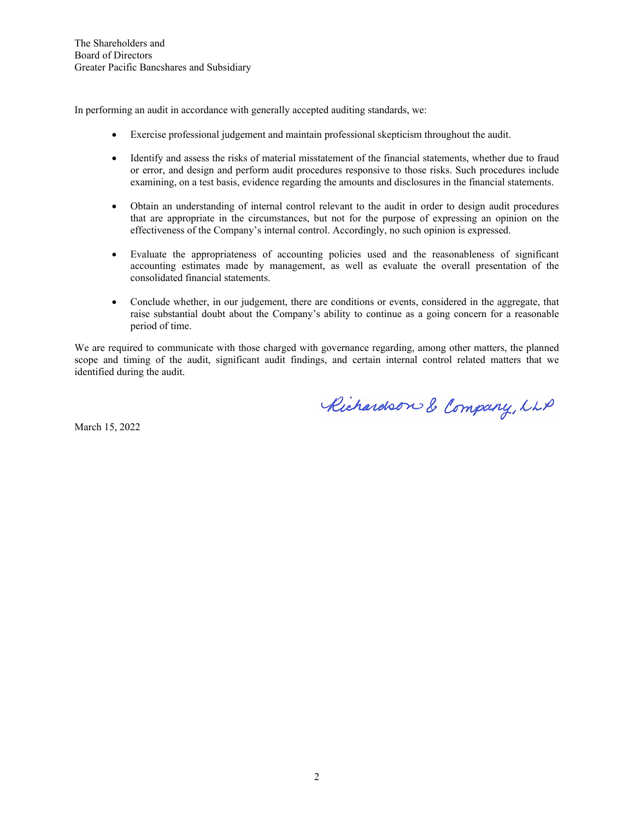In performing an audit in accordance with generally accepted auditing standards, we:

- Exercise professional judgement and maintain professional skepticism throughout the audit.
- Identify and assess the risks of material misstatement of the financial statements, whether due to fraud or error, and design and perform audit procedures responsive to those risks. Such procedures include examining, on a test basis, evidence regarding the amounts and disclosures in the financial statements.
- Obtain an understanding of internal control relevant to the audit in order to design audit procedures that are appropriate in the circumstances, but not for the purpose of expressing an opinion on the effectiveness of the Company's internal control. Accordingly, no such opinion is expressed.
- Evaluate the appropriateness of accounting policies used and the reasonableness of significant accounting estimates made by management, as well as evaluate the overall presentation of the consolidated financial statements.
- Conclude whether, in our judgement, there are conditions or events, considered in the aggregate, that raise substantial doubt about the Company's ability to continue as a going concern for a reasonable period of time.

We are required to communicate with those charged with governance regarding, among other matters, the planned scope and timing of the audit, significant audit findings, and certain internal control related matters that we identified during the audit.

Richardson & Company, LLP

March 15, 2022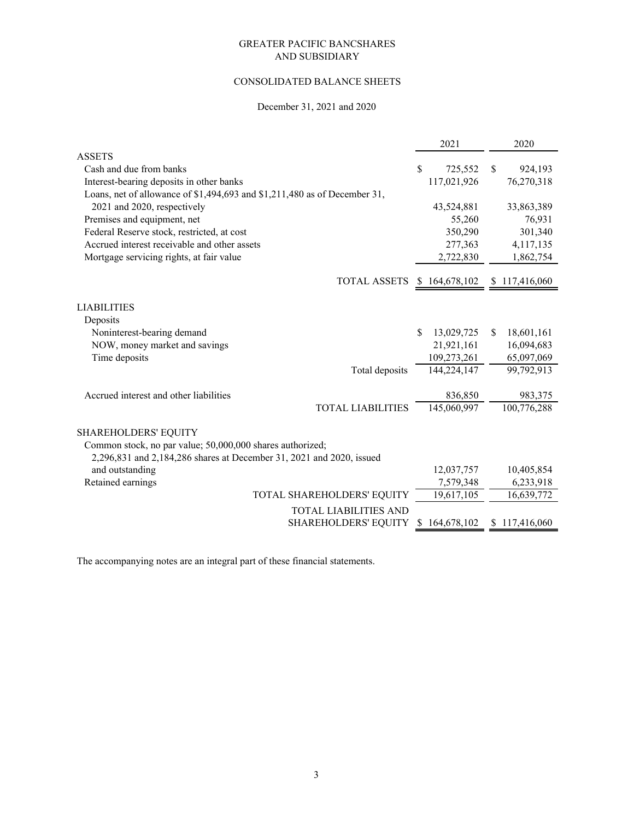# CONSOLIDATED BALANCE SHEETS

# December 31, 2021 and 2020

|                                                                           |    | 2021          |    | 2020          |
|---------------------------------------------------------------------------|----|---------------|----|---------------|
| <b>ASSETS</b>                                                             |    |               |    |               |
| Cash and due from banks                                                   | \$ | 725,552       | \$ | 924,193       |
| Interest-bearing deposits in other banks                                  |    | 117,021,926   |    | 76,270,318    |
| Loans, net of allowance of \$1,494,693 and \$1,211,480 as of December 31, |    |               |    |               |
| 2021 and 2020, respectively                                               |    | 43,524,881    |    | 33,863,389    |
| Premises and equipment, net                                               |    | 55,260        |    | 76,931        |
| Federal Reserve stock, restricted, at cost                                |    | 350,290       |    | 301,340       |
| Accrued interest receivable and other assets                              |    | 277,363       |    | 4,117,135     |
| Mortgage servicing rights, at fair value                                  |    | 2,722,830     |    | 1,862,754     |
| <b>TOTAL ASSETS</b>                                                       |    | \$164,678,102 |    | \$117,416,060 |
| <b>LIABILITIES</b>                                                        |    |               |    |               |
| Deposits                                                                  |    |               |    |               |
| Noninterest-bearing demand                                                | \$ | 13,029,725    | \$ | 18,601,161    |
| NOW, money market and savings                                             |    | 21,921,161    |    | 16,094,683    |
| Time deposits                                                             |    | 109,273,261   |    | 65,097,069    |
| Total deposits                                                            |    | 144,224,147   |    | 99,792,913    |
|                                                                           |    |               |    |               |
| Accrued interest and other liabilities                                    |    | 836,850       |    | 983,375       |
| <b>TOTAL LIABILITIES</b>                                                  |    | 145,060,997   |    | 100,776,288   |
| SHAREHOLDERS' EQUITY                                                      |    |               |    |               |
| Common stock, no par value; 50,000,000 shares authorized;                 |    |               |    |               |
| 2,296,831 and 2,184,286 shares at December 31, 2021 and 2020, issued      |    |               |    |               |
| and outstanding                                                           |    | 12,037,757    |    | 10,405,854    |
| Retained earnings                                                         |    | 7,579,348     |    | 6,233,918     |
| TOTAL SHAREHOLDERS' EQUITY                                                |    | 19,617,105    |    | 16,639,772    |
| <b>TOTAL LIABILITIES AND</b>                                              |    |               |    |               |
| <b>SHAREHOLDERS' EQUITY</b>                                               | S  | 164,678,102   | S. | 117,416,060   |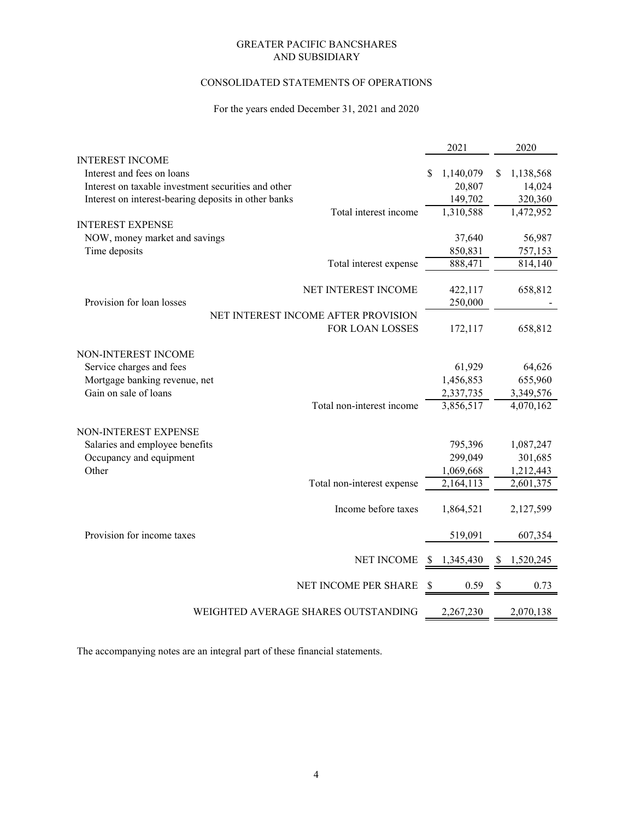# CONSOLIDATED STATEMENTS OF OPERATIONS

# For the years ended December 31, 2021 and 2020

|                                                      |    | 2021      |    | 2020      |
|------------------------------------------------------|----|-----------|----|-----------|
| <b>INTEREST INCOME</b>                               |    |           |    |           |
| Interest and fees on loans                           | S  | 1,140,079 | \$ | 1,138,568 |
| Interest on taxable investment securities and other  |    | 20,807    |    | 14,024    |
| Interest on interest-bearing deposits in other banks |    | 149,702   |    | 320,360   |
| Total interest income                                |    | 1,310,588 |    | 1,472,952 |
| <b>INTEREST EXPENSE</b>                              |    |           |    |           |
| NOW, money market and savings                        |    | 37,640    |    | 56,987    |
| Time deposits                                        |    | 850,831   |    | 757,153   |
| Total interest expense                               |    | 888,471   |    | 814,140   |
|                                                      |    |           |    |           |
| NET INTEREST INCOME                                  |    | 422,117   |    | 658,812   |
| Provision for loan losses                            |    | 250,000   |    |           |
| NET INTEREST INCOME AFTER PROVISION                  |    |           |    |           |
| <b>FOR LOAN LOSSES</b>                               |    | 172,117   |    | 658,812   |
|                                                      |    |           |    |           |
| NON-INTEREST INCOME                                  |    |           |    |           |
| Service charges and fees                             |    | 61,929    |    | 64,626    |
| Mortgage banking revenue, net                        |    | 1,456,853 |    | 655,960   |
| Gain on sale of loans                                |    | 2,337,735 |    | 3,349,576 |
| Total non-interest income                            |    | 3,856,517 |    | 4,070,162 |
| NON-INTEREST EXPENSE                                 |    |           |    |           |
| Salaries and employee benefits                       |    | 795,396   |    | 1,087,247 |
| Occupancy and equipment                              |    | 299,049   |    | 301,685   |
| Other                                                |    | 1,069,668 |    | 1,212,443 |
| Total non-interest expense                           |    | 2,164,113 |    | 2,601,375 |
|                                                      |    |           |    |           |
| Income before taxes                                  |    | 1,864,521 |    | 2,127,599 |
| Provision for income taxes                           |    | 519,091   |    | 607,354   |
|                                                      |    |           |    |           |
| <b>NET INCOME</b>                                    |    | 1,345,430 | S  | 1,520,245 |
|                                                      |    |           |    |           |
| NET INCOME PER SHARE                                 | \$ | 0.59      | \$ | 0.73      |
| WEIGHTED AVERAGE SHARES OUTSTANDING                  |    | 2,267,230 |    | 2,070,138 |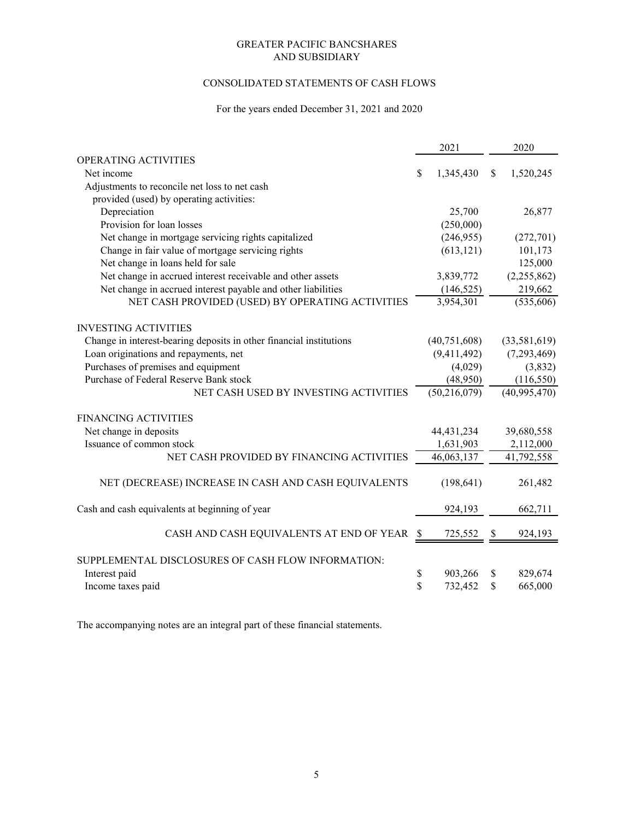# AND SUBSIDIARY GREATER PACIFIC BANCSHARES

# CONSOLIDATED STATEMENTS OF CASH FLOWS

# For the years ended December 31, 2021 and 2020

|                                                                     |    | 2021           |               | 2020           |
|---------------------------------------------------------------------|----|----------------|---------------|----------------|
| <b>OPERATING ACTIVITIES</b>                                         |    |                |               |                |
| Net income                                                          | S  | 1,345,430      | <sup>\$</sup> | 1,520,245      |
| Adjustments to reconcile net loss to net cash                       |    |                |               |                |
| provided (used) by operating activities:                            |    |                |               |                |
| Depreciation                                                        |    | 25,700         |               | 26,877         |
| Provision for loan losses                                           |    | (250,000)      |               |                |
| Net change in mortgage servicing rights capitalized                 |    | (246,955)      |               | (272, 701)     |
| Change in fair value of mortgage servicing rights                   |    | (613, 121)     |               | 101,173        |
| Net change in loans held for sale                                   |    |                |               | 125,000        |
| Net change in accrued interest receivable and other assets          |    | 3,839,772      |               | (2,255,862)    |
| Net change in accrued interest payable and other liabilities        |    | (146, 525)     |               | 219,662        |
| NET CASH PROVIDED (USED) BY OPERATING ACTIVITIES                    |    | 3,954,301      |               | (535,606)      |
| <b>INVESTING ACTIVITIES</b>                                         |    |                |               |                |
| Change in interest-bearing deposits in other financial institutions |    | (40,751,608)   |               | (33, 581, 619) |
| Loan originations and repayments, net                               |    | (9,411,492)    |               | (7,293,469)    |
| Purchases of premises and equipment                                 |    | (4,029)        |               | (3,832)        |
| Purchase of Federal Reserve Bank stock                              |    | (48,950)       |               | (116, 550)     |
| NET CASH USED BY INVESTING ACTIVITIES                               |    | (50, 216, 079) |               | (40,995,470)   |
| <b>FINANCING ACTIVITIES</b>                                         |    |                |               |                |
| Net change in deposits                                              |    | 44, 431, 234   |               | 39,680,558     |
| Issuance of common stock                                            |    | 1,631,903      |               | 2,112,000      |
| NET CASH PROVIDED BY FINANCING ACTIVITIES                           |    | 46,063,137     |               | 41,792,558     |
| NET (DECREASE) INCREASE IN CASH AND CASH EQUIVALENTS                |    | (198, 641)     |               | 261,482        |
| Cash and cash equivalents at beginning of year                      |    | 924,193        |               | 662,711        |
| CASH AND CASH EQUIVALENTS AT END OF YEAR                            | \$ | 725,552        | \$            | 924,193        |
| SUPPLEMENTAL DISCLOSURES OF CASH FLOW INFORMATION:                  |    |                |               |                |
| Interest paid                                                       | \$ | 903,266        | \$            | 829,674        |
| Income taxes paid                                                   | \$ | 732,452        | \$            | 665,000        |
|                                                                     |    |                |               |                |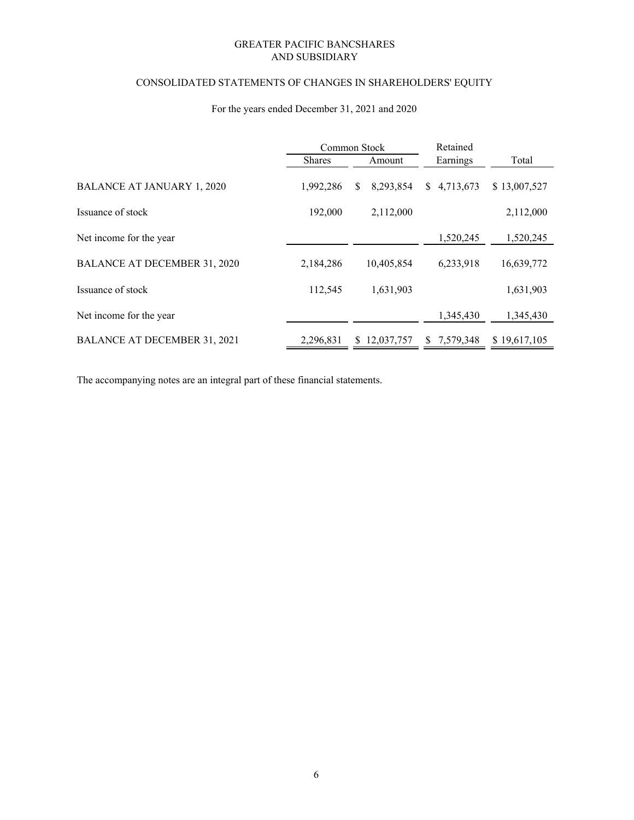# CONSOLIDATED STATEMENTS OF CHANGES IN SHAREHOLDERS' EQUITY

|                                     | Common Stock  |                | Retained        |              |
|-------------------------------------|---------------|----------------|-----------------|--------------|
|                                     | <b>Shares</b> | Amount         | Earnings        | Total        |
| <b>BALANCE AT JANUARY 1, 2020</b>   | 1,992,286     | 8,293,854<br>S | 4,713,673<br>S. | \$13,007,527 |
| Issuance of stock                   | 192,000       | 2,112,000      |                 | 2,112,000    |
| Net income for the year             |               |                | 1,520,245       | 1,520,245    |
| <b>BALANCE AT DECEMBER 31, 2020</b> | 2,184,286     | 10,405,854     | 6,233,918       | 16,639,772   |
| Issuance of stock                   | 112,545       | 1,631,903      |                 | 1,631,903    |
| Net income for the year             |               |                | 1,345,430       | 1,345,430    |
| <b>BALANCE AT DECEMBER 31, 2021</b> | 2,296,831     | \$12,037,757   | 7,579,348<br>S. | \$19,617,105 |

# For the years ended December 31, 2021 and 2020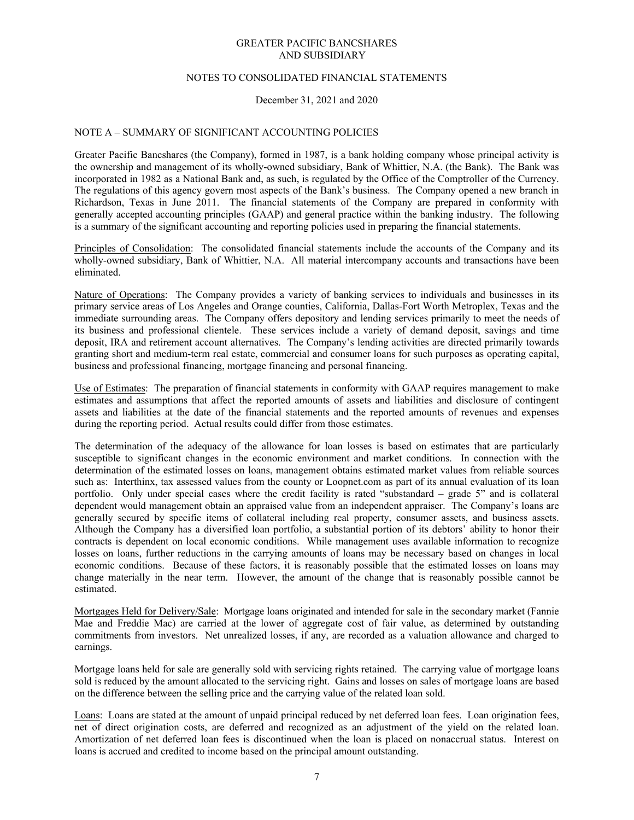### NOTES TO CONSOLIDATED FINANCIAL STATEMENTS

# December 31, 2021 and 2020

# NOTE A – SUMMARY OF SIGNIFICANT ACCOUNTING POLICIES

Greater Pacific Bancshares (the Company), formed in 1987, is a bank holding company whose principal activity is the ownership and management of its wholly-owned subsidiary, Bank of Whittier, N.A. (the Bank). The Bank was incorporated in 1982 as a National Bank and, as such, is regulated by the Office of the Comptroller of the Currency. The regulations of this agency govern most aspects of the Bank's business. The Company opened a new branch in Richardson, Texas in June 2011. The financial statements of the Company are prepared in conformity with generally accepted accounting principles (GAAP) and general practice within the banking industry. The following is a summary of the significant accounting and reporting policies used in preparing the financial statements.

Principles of Consolidation: The consolidated financial statements include the accounts of the Company and its wholly-owned subsidiary, Bank of Whittier, N.A. All material intercompany accounts and transactions have been eliminated.

Nature of Operations: The Company provides a variety of banking services to individuals and businesses in its primary service areas of Los Angeles and Orange counties, California, Dallas-Fort Worth Metroplex, Texas and the immediate surrounding areas. The Company offers depository and lending services primarily to meet the needs of its business and professional clientele. These services include a variety of demand deposit, savings and time deposit, IRA and retirement account alternatives. The Company's lending activities are directed primarily towards granting short and medium-term real estate, commercial and consumer loans for such purposes as operating capital, business and professional financing, mortgage financing and personal financing.

Use of Estimates: The preparation of financial statements in conformity with GAAP requires management to make estimates and assumptions that affect the reported amounts of assets and liabilities and disclosure of contingent assets and liabilities at the date of the financial statements and the reported amounts of revenues and expenses during the reporting period. Actual results could differ from those estimates.

The determination of the adequacy of the allowance for loan losses is based on estimates that are particularly susceptible to significant changes in the economic environment and market conditions. In connection with the determination of the estimated losses on loans, management obtains estimated market values from reliable sources such as: Interthinx, tax assessed values from the county or Loopnet.com as part of its annual evaluation of its loan portfolio. Only under special cases where the credit facility is rated "substandard – grade 5" and is collateral dependent would management obtain an appraised value from an independent appraiser. The Company's loans are generally secured by specific items of collateral including real property, consumer assets, and business assets. Although the Company has a diversified loan portfolio, a substantial portion of its debtors' ability to honor their contracts is dependent on local economic conditions. While management uses available information to recognize losses on loans, further reductions in the carrying amounts of loans may be necessary based on changes in local economic conditions. Because of these factors, it is reasonably possible that the estimated losses on loans may change materially in the near term. However, the amount of the change that is reasonably possible cannot be estimated.

Mortgages Held for Delivery/Sale: Mortgage loans originated and intended for sale in the secondary market (Fannie Mae and Freddie Mac) are carried at the lower of aggregate cost of fair value, as determined by outstanding commitments from investors. Net unrealized losses, if any, are recorded as a valuation allowance and charged to earnings.

Mortgage loans held for sale are generally sold with servicing rights retained. The carrying value of mortgage loans sold is reduced by the amount allocated to the servicing right. Gains and losses on sales of mortgage loans are based on the difference between the selling price and the carrying value of the related loan sold.

Loans: Loans are stated at the amount of unpaid principal reduced by net deferred loan fees. Loan origination fees, net of direct origination costs, are deferred and recognized as an adjustment of the yield on the related loan. Amortization of net deferred loan fees is discontinued when the loan is placed on nonaccrual status. Interest on loans is accrued and credited to income based on the principal amount outstanding.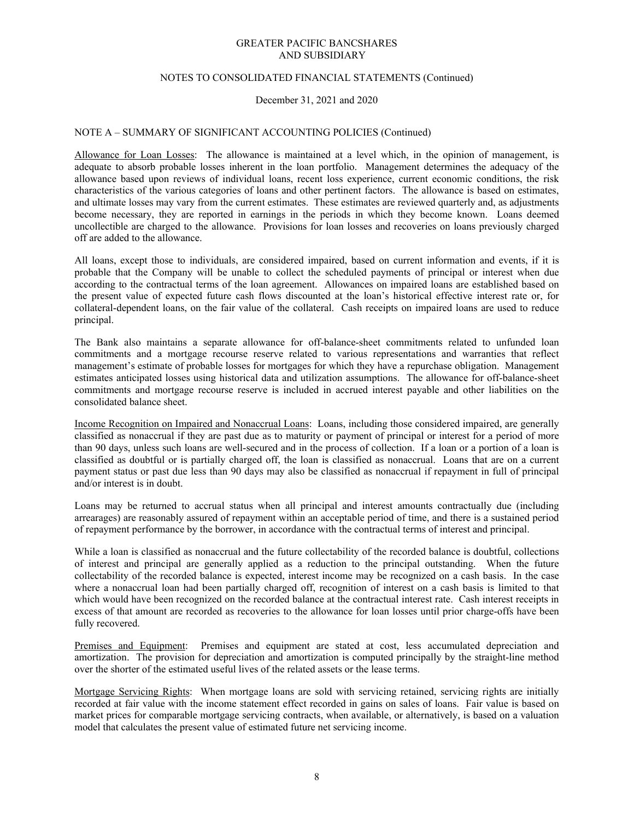### NOTES TO CONSOLIDATED FINANCIAL STATEMENTS (Continued)

# December 31, 2021 and 2020

## NOTE A – SUMMARY OF SIGNIFICANT ACCOUNTING POLICIES (Continued)

Allowance for Loan Losses: The allowance is maintained at a level which, in the opinion of management, is adequate to absorb probable losses inherent in the loan portfolio. Management determines the adequacy of the allowance based upon reviews of individual loans, recent loss experience, current economic conditions, the risk characteristics of the various categories of loans and other pertinent factors. The allowance is based on estimates, and ultimate losses may vary from the current estimates. These estimates are reviewed quarterly and, as adjustments become necessary, they are reported in earnings in the periods in which they become known. Loans deemed uncollectible are charged to the allowance. Provisions for loan losses and recoveries on loans previously charged off are added to the allowance.

All loans, except those to individuals, are considered impaired, based on current information and events, if it is probable that the Company will be unable to collect the scheduled payments of principal or interest when due according to the contractual terms of the loan agreement. Allowances on impaired loans are established based on the present value of expected future cash flows discounted at the loan's historical effective interest rate or, for collateral-dependent loans, on the fair value of the collateral. Cash receipts on impaired loans are used to reduce principal.

The Bank also maintains a separate allowance for off-balance-sheet commitments related to unfunded loan commitments and a mortgage recourse reserve related to various representations and warranties that reflect management's estimate of probable losses for mortgages for which they have a repurchase obligation. Management estimates anticipated losses using historical data and utilization assumptions. The allowance for off-balance-sheet commitments and mortgage recourse reserve is included in accrued interest payable and other liabilities on the consolidated balance sheet.

Income Recognition on Impaired and Nonaccrual Loans: Loans, including those considered impaired, are generally classified as nonaccrual if they are past due as to maturity or payment of principal or interest for a period of more than 90 days, unless such loans are well-secured and in the process of collection. If a loan or a portion of a loan is classified as doubtful or is partially charged off, the loan is classified as nonaccrual. Loans that are on a current payment status or past due less than 90 days may also be classified as nonaccrual if repayment in full of principal and/or interest is in doubt.

Loans may be returned to accrual status when all principal and interest amounts contractually due (including arrearages) are reasonably assured of repayment within an acceptable period of time, and there is a sustained period of repayment performance by the borrower, in accordance with the contractual terms of interest and principal.

While a loan is classified as nonaccrual and the future collectability of the recorded balance is doubtful, collections of interest and principal are generally applied as a reduction to the principal outstanding. When the future collectability of the recorded balance is expected, interest income may be recognized on a cash basis. In the case where a nonaccrual loan had been partially charged off, recognition of interest on a cash basis is limited to that which would have been recognized on the recorded balance at the contractual interest rate. Cash interest receipts in excess of that amount are recorded as recoveries to the allowance for loan losses until prior charge-offs have been fully recovered.

Premises and Equipment: Premises and equipment are stated at cost, less accumulated depreciation and amortization. The provision for depreciation and amortization is computed principally by the straight-line method over the shorter of the estimated useful lives of the related assets or the lease terms.

Mortgage Servicing Rights: When mortgage loans are sold with servicing retained, servicing rights are initially recorded at fair value with the income statement effect recorded in gains on sales of loans. Fair value is based on market prices for comparable mortgage servicing contracts, when available, or alternatively, is based on a valuation model that calculates the present value of estimated future net servicing income.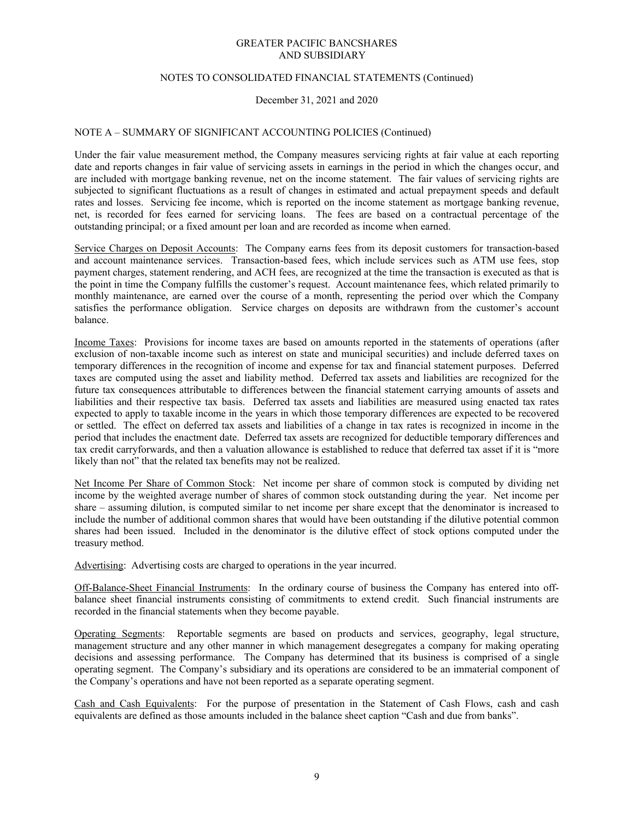## NOTES TO CONSOLIDATED FINANCIAL STATEMENTS (Continued)

## December 31, 2021 and 2020

## NOTE A – SUMMARY OF SIGNIFICANT ACCOUNTING POLICIES (Continued)

Under the fair value measurement method, the Company measures servicing rights at fair value at each reporting date and reports changes in fair value of servicing assets in earnings in the period in which the changes occur, and are included with mortgage banking revenue, net on the income statement. The fair values of servicing rights are subjected to significant fluctuations as a result of changes in estimated and actual prepayment speeds and default rates and losses. Servicing fee income, which is reported on the income statement as mortgage banking revenue, net, is recorded for fees earned for servicing loans. The fees are based on a contractual percentage of the outstanding principal; or a fixed amount per loan and are recorded as income when earned.

Service Charges on Deposit Accounts: The Company earns fees from its deposit customers for transaction-based and account maintenance services. Transaction-based fees, which include services such as ATM use fees, stop payment charges, statement rendering, and ACH fees, are recognized at the time the transaction is executed as that is the point in time the Company fulfills the customer's request. Account maintenance fees, which related primarily to monthly maintenance, are earned over the course of a month, representing the period over which the Company satisfies the performance obligation. Service charges on deposits are withdrawn from the customer's account balance.

Income Taxes: Provisions for income taxes are based on amounts reported in the statements of operations (after exclusion of non-taxable income such as interest on state and municipal securities) and include deferred taxes on temporary differences in the recognition of income and expense for tax and financial statement purposes. Deferred taxes are computed using the asset and liability method. Deferred tax assets and liabilities are recognized for the future tax consequences attributable to differences between the financial statement carrying amounts of assets and liabilities and their respective tax basis. Deferred tax assets and liabilities are measured using enacted tax rates expected to apply to taxable income in the years in which those temporary differences are expected to be recovered or settled. The effect on deferred tax assets and liabilities of a change in tax rates is recognized in income in the period that includes the enactment date. Deferred tax assets are recognized for deductible temporary differences and tax credit carryforwards, and then a valuation allowance is established to reduce that deferred tax asset if it is "more likely than not" that the related tax benefits may not be realized.

Net Income Per Share of Common Stock: Net income per share of common stock is computed by dividing net income by the weighted average number of shares of common stock outstanding during the year. Net income per share – assuming dilution, is computed similar to net income per share except that the denominator is increased to include the number of additional common shares that would have been outstanding if the dilutive potential common shares had been issued. Included in the denominator is the dilutive effect of stock options computed under the treasury method.

Advertising: Advertising costs are charged to operations in the year incurred.

Off-Balance-Sheet Financial Instruments: In the ordinary course of business the Company has entered into offbalance sheet financial instruments consisting of commitments to extend credit. Such financial instruments are recorded in the financial statements when they become payable.

Operating Segments: Reportable segments are based on products and services, geography, legal structure, management structure and any other manner in which management desegregates a company for making operating decisions and assessing performance. The Company has determined that its business is comprised of a single operating segment. The Company's subsidiary and its operations are considered to be an immaterial component of the Company's operations and have not been reported as a separate operating segment.

Cash and Cash Equivalents: For the purpose of presentation in the Statement of Cash Flows, cash and cash equivalents are defined as those amounts included in the balance sheet caption "Cash and due from banks".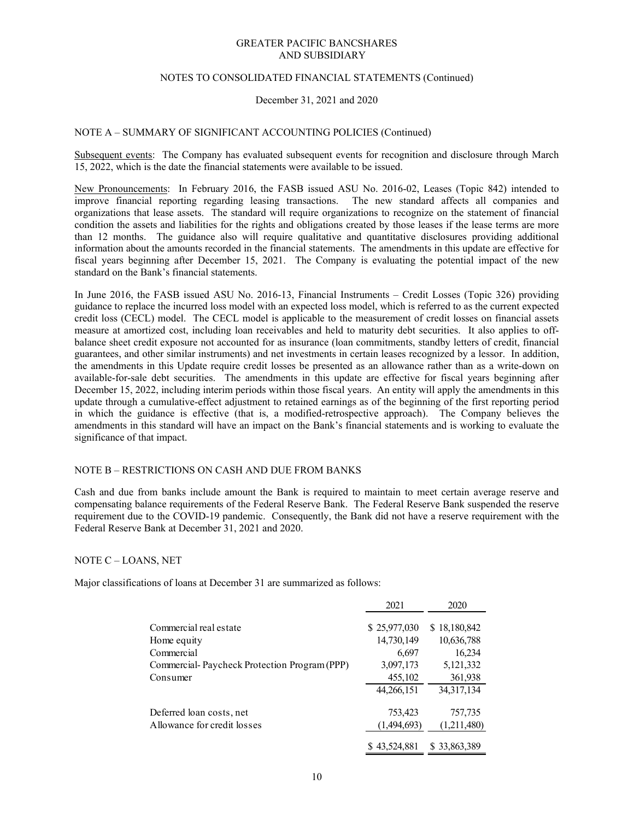# NOTES TO CONSOLIDATED FINANCIAL STATEMENTS (Continued)

# December 31, 2021 and 2020

# NOTE A – SUMMARY OF SIGNIFICANT ACCOUNTING POLICIES (Continued)

Subsequent events: The Company has evaluated subsequent events for recognition and disclosure through March 15, 2022, which is the date the financial statements were available to be issued.

New Pronouncements: In February 2016, the FASB issued ASU No. 2016-02, Leases (Topic 842) intended to improve financial reporting regarding leasing transactions. The new standard affects all companies and organizations that lease assets. The standard will require organizations to recognize on the statement of financial condition the assets and liabilities for the rights and obligations created by those leases if the lease terms are more than 12 months. The guidance also will require qualitative and quantitative disclosures providing additional information about the amounts recorded in the financial statements. The amendments in this update are effective for fiscal years beginning after December 15, 2021. The Company is evaluating the potential impact of the new standard on the Bank's financial statements.

In June 2016, the FASB issued ASU No. 2016-13, Financial Instruments – Credit Losses (Topic 326) providing guidance to replace the incurred loss model with an expected loss model, which is referred to as the current expected credit loss (CECL) model. The CECL model is applicable to the measurement of credit losses on financial assets measure at amortized cost, including loan receivables and held to maturity debt securities. It also applies to offbalance sheet credit exposure not accounted for as insurance (loan commitments, standby letters of credit, financial guarantees, and other similar instruments) and net investments in certain leases recognized by a lessor. In addition, the amendments in this Update require credit losses be presented as an allowance rather than as a write-down on available-for-sale debt securities. The amendments in this update are effective for fiscal years beginning after December 15, 2022, including interim periods within those fiscal years. An entity will apply the amendments in this update through a cumulative-effect adjustment to retained earnings as of the beginning of the first reporting period in which the guidance is effective (that is, a modified-retrospective approach). The Company believes the amendments in this standard will have an impact on the Bank's financial statements and is working to evaluate the significance of that impact.

#### NOTE B – RESTRICTIONS ON CASH AND DUE FROM BANKS

Cash and due from banks include amount the Bank is required to maintain to meet certain average reserve and compensating balance requirements of the Federal Reserve Bank. The Federal Reserve Bank suspended the reserve requirement due to the COVID-19 pandemic. Consequently, the Bank did not have a reserve requirement with the Federal Reserve Bank at December 31, 2021 and 2020.

#### NOTE C – LOANS, NET

Major classifications of loans at December 31 are summarized as follows:

|                                              | 2021         | 2020         |
|----------------------------------------------|--------------|--------------|
| Commercial real estate                       | \$25,977,030 | \$18,180,842 |
| Home equity                                  | 14,730,149   | 10,636,788   |
| Commercial                                   | 6,697        | 16,234       |
| Commercial-Paycheck Protection Program (PPP) | 3,097,173    | 5,121,332    |
| Consumer                                     | 455,102      | 361,938      |
|                                              | 44,266,151   | 34, 317, 134 |
| Deferred loan costs, net                     | 753,423      | 757,735      |
| Allowance for credit losses                  | (1,494,693)  | (1,211,480)  |
|                                              | \$43,524,881 | \$33,863,389 |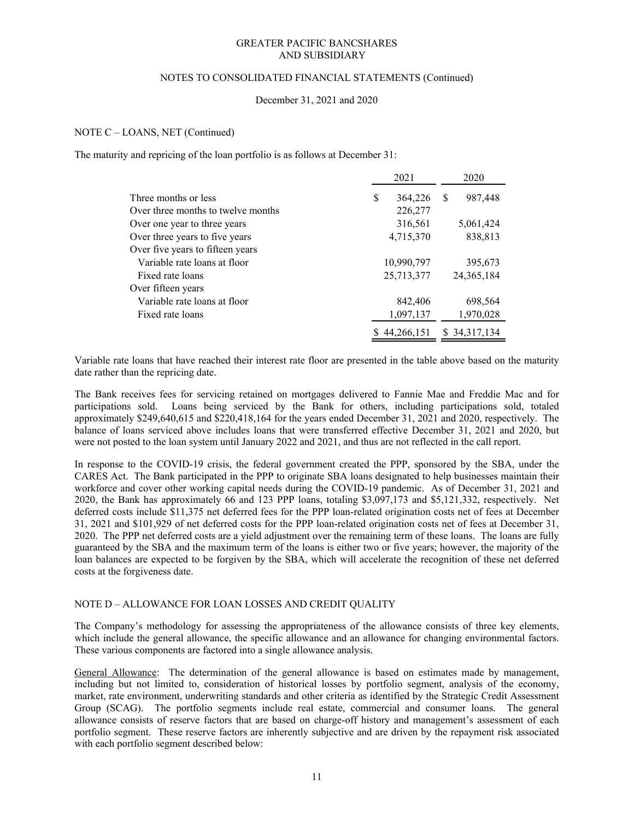# NOTES TO CONSOLIDATED FINANCIAL STATEMENTS (Continued)

### December 31, 2021 and 2020

#### NOTE C – LOANS, NET (Continued)

The maturity and repricing of the loan portfolio is as follows at December 31:

|                                    | 2021 |            |   | 2020         |  |  |
|------------------------------------|------|------------|---|--------------|--|--|
| Three months or less               | \$.  | 364,226    | S | 987,448      |  |  |
| Over three months to twelve months |      | 226,277    |   |              |  |  |
| Over one year to three years       |      | 316,561    |   | 5,061,424    |  |  |
| Over three years to five years     |      | 4,715,370  |   | 838,813      |  |  |
| Over five years to fifteen years   |      |            |   |              |  |  |
| Variable rate loans at floor       |      | 10,990,797 |   | 395,673      |  |  |
| Fixed rate loans                   |      | 25,713,377 |   | 24, 365, 184 |  |  |
| Over fifteen years                 |      |            |   |              |  |  |
| Variable rate loans at floor       |      | 842,406    |   | 698,564      |  |  |
| Fixed rate loans                   |      | 1,097,137  |   | 1,970,028    |  |  |
|                                    |      | 44,266,151 |   | \$34,317,134 |  |  |

Variable rate loans that have reached their interest rate floor are presented in the table above based on the maturity date rather than the repricing date.

The Bank receives fees for servicing retained on mortgages delivered to Fannie Mae and Freddie Mac and for participations sold. Loans being serviced by the Bank for others, including participations sold, totaled approximately \$249,640,615 and \$220,418,164 for the years ended December 31, 2021 and 2020, respectively. The balance of loans serviced above includes loans that were transferred effective December 31, 2021 and 2020, but were not posted to the loan system until January 2022 and 2021, and thus are not reflected in the call report.

In response to the COVID-19 crisis, the federal government created the PPP, sponsored by the SBA, under the CARES Act. The Bank participated in the PPP to originate SBA loans designated to help businesses maintain their workforce and cover other working capital needs during the COVID-19 pandemic. As of December 31, 2021 and 2020, the Bank has approximately 66 and 123 PPP loans, totaling \$3,097,173 and \$5,121,332, respectively. Net deferred costs include \$11,375 net deferred fees for the PPP loan-related origination costs net of fees at December 31, 2021 and \$101,929 of net deferred costs for the PPP loan-related origination costs net of fees at December 31, 2020. The PPP net deferred costs are a yield adjustment over the remaining term of these loans. The loans are fully guaranteed by the SBA and the maximum term of the loans is either two or five years; however, the majority of the loan balances are expected to be forgiven by the SBA, which will accelerate the recognition of these net deferred costs at the forgiveness date.

# NOTE D – ALLOWANCE FOR LOAN LOSSES AND CREDIT QUALITY

The Company's methodology for assessing the appropriateness of the allowance consists of three key elements, which include the general allowance, the specific allowance and an allowance for changing environmental factors. These various components are factored into a single allowance analysis.

General Allowance: The determination of the general allowance is based on estimates made by management, including but not limited to, consideration of historical losses by portfolio segment, analysis of the economy, market, rate environment, underwriting standards and other criteria as identified by the Strategic Credit Assessment Group (SCAG). The portfolio segments include real estate, commercial and consumer loans. The general allowance consists of reserve factors that are based on charge-off history and management's assessment of each portfolio segment. These reserve factors are inherently subjective and are driven by the repayment risk associated with each portfolio segment described below: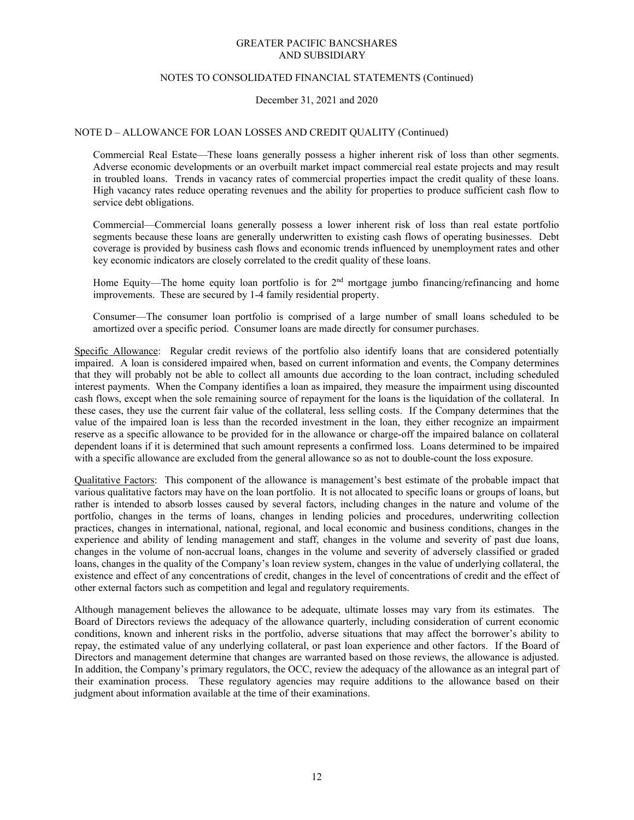## NOTES TO CONSOLIDATED FINANCIAL STATEMENTS (Continued)

# December 31, 2021 and 2020

# NOTE D – ALLOWANCE FOR LOAN LOSSES AND CREDIT QUALITY (Continued)

Commercial Real Estate—These loans generally possess a higher inherent risk of loss than other segments. Adverse economic developments or an overbuilt market impact commercial real estate projects and may result in troubled loans. Trends in vacancy rates of commercial properties impact the credit quality of these loans. High vacancy rates reduce operating revenues and the ability for properties to produce sufficient cash flow to service debt obligations.

Commercial—Commercial loans generally possess a lower inherent risk of loss than real estate portfolio segments because these loans are generally underwritten to existing cash flows of operating businesses. Debt coverage is provided by business cash flows and economic trends influenced by unemployment rates and other key economic indicators are closely correlated to the credit quality of these loans.

Home Equity—The home equity loan portfolio is for  $2<sup>nd</sup>$  mortgage jumbo financing/refinancing and home improvements. These are secured by 1-4 family residential property.

Consumer—The consumer loan portfolio is comprised of a large number of small loans scheduled to be amortized over a specific period. Consumer loans are made directly for consumer purchases.

Specific Allowance: Regular credit reviews of the portfolio also identify loans that are considered potentially impaired. A loan is considered impaired when, based on current information and events, the Company determines that they will probably not be able to collect all amounts due according to the loan contract, including scheduled interest payments. When the Company identifies a loan as impaired, they measure the impairment using discounted cash flows, except when the sole remaining source of repayment for the loans is the liquidation of the collateral. In these cases, they use the current fair value of the collateral, less selling costs. If the Company determines that the value of the impaired loan is less than the recorded investment in the loan, they either recognize an impairment reserve as a specific allowance to be provided for in the allowance or charge-off the impaired balance on collateral dependent loans if it is determined that such amount represents a confirmed loss. Loans determined to be impaired with a specific allowance are excluded from the general allowance so as not to double-count the loss exposure.

Qualitative Factors: This component of the allowance is management's best estimate of the probable impact that various qualitative factors may have on the loan portfolio. It is not allocated to specific loans or groups of loans, but rather is intended to absorb losses caused by several factors, including changes in the nature and volume of the portfolio, changes in the terms of loans, changes in lending policies and procedures, underwriting collection practices, changes in international, national, regional, and local economic and business conditions, changes in the experience and ability of lending management and staff, changes in the volume and severity of past due loans, changes in the volume of non-accrual loans, changes in the volume and severity of adversely classified or graded loans, changes in the quality of the Company's loan review system, changes in the value of underlying collateral, the existence and effect of any concentrations of credit, changes in the level of concentrations of credit and the effect of other external factors such as competition and legal and regulatory requirements.

Although management believes the allowance to be adequate, ultimate losses may vary from its estimates. The Board of Directors reviews the adequacy of the allowance quarterly, including consideration of current economic conditions, known and inherent risks in the portfolio, adverse situations that may affect the borrower's ability to repay, the estimated value of any underlying collateral, or past loan experience and other factors. If the Board of Directors and management determine that changes are warranted based on those reviews, the allowance is adjusted. In addition, the Company's primary regulators, the OCC, review the adequacy of the allowance as an integral part of their examination process. These regulatory agencies may require additions to the allowance based on their judgment about information available at the time of their examinations.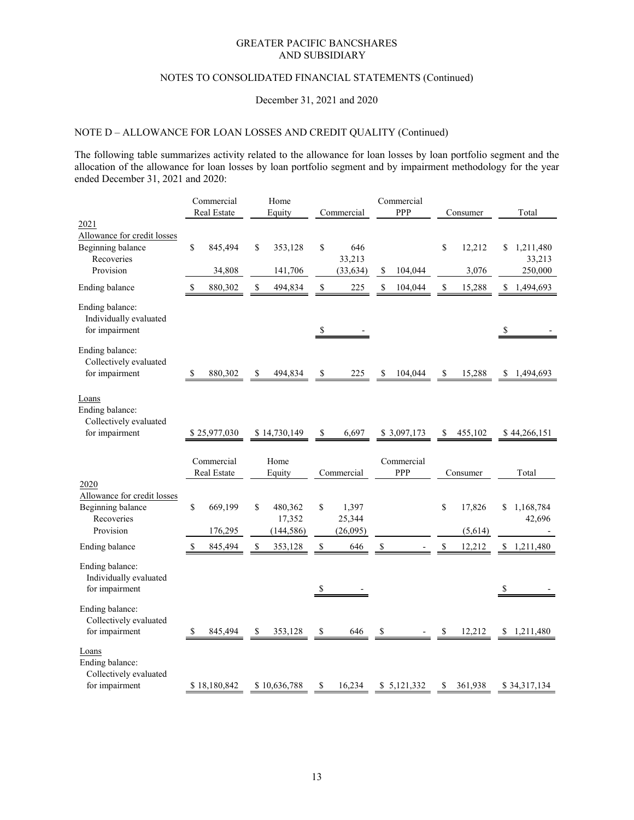# NOTES TO CONSOLIDATED FINANCIAL STATEMENTS (Continued)

# December 31, 2021 and 2020

# NOTE D – ALLOWANCE FOR LOAN LOSSES AND CREDIT QUALITY (Continued)

The following table summarizes activity related to the allowance for loan losses by loan portfolio segment and the allocation of the allowance for loan losses by loan portfolio segment and by impairment methodology for the year ended December 31, 2021 and 2020:

|                                                    | Commercial<br>Real Estate | Home<br>Equity | Commercial                                         | Commercial<br>PPP        | Consumer      | Total           |
|----------------------------------------------------|---------------------------|----------------|----------------------------------------------------|--------------------------|---------------|-----------------|
| 2021                                               |                           |                |                                                    |                          |               |                 |
| Allowance for credit losses                        |                           |                |                                                    |                          |               |                 |
| <b>Beginning balance</b>                           | \$<br>845,494             | \$<br>353,128  | \$<br>646                                          |                          | \$<br>12,212  | 1,211,480<br>S  |
| Recoveries                                         |                           |                | 33,213                                             |                          |               | 33,213          |
| Provision                                          | 34,808                    | 141,706        | (33, 634)                                          | 104,044<br>\$            | 3,076         | 250,000         |
| Ending balance                                     | <sup>\$</sup><br>880,302  | \$<br>494,834  | \$<br>225                                          | <sup>\$</sup><br>104,044 | \$<br>15,288  | 1,494,693<br>\$ |
| Ending balance:<br>Individually evaluated          |                           |                |                                                    |                          |               |                 |
| for impairment                                     |                           |                | -S                                                 |                          |               |                 |
| Ending balance:<br>Collectively evaluated          |                           |                |                                                    |                          |               |                 |
| for impairment                                     | \$<br>880,302             | \$<br>494,834  | \$<br>225                                          | \$<br>104,044            | \$<br>15,288  | \$<br>1,494,693 |
| Loans<br>Ending balance:<br>Collectively evaluated |                           |                |                                                    |                          |               |                 |
| for impairment                                     | \$25,977,030              | \$14,730,149   | \$<br>6,697                                        | \$3,097,173              | \$<br>455,102 | \$44,266,151    |
|                                                    |                           |                |                                                    |                          |               |                 |
|                                                    | Commercial                | Home           |                                                    | Commercial               |               |                 |
|                                                    | Real Estate               | Equity         | Commercial                                         | PPP                      | Consumer      | Total           |
| 2020                                               |                           |                |                                                    |                          |               |                 |
| Allowance for credit losses<br>Beginning balance   | $\mathbb{S}$<br>669,199   | \$<br>480,362  | \$<br>1,397                                        |                          | \$<br>17,826  | 1,168,784<br>\$ |
| Recoveries                                         |                           | 17,352         | 25,344                                             |                          |               | 42,696          |
| Provision                                          | 176,295                   | (144, 586)     | (26,095)                                           |                          | (5,614)       |                 |
| Ending balance                                     | \$.<br>845,494            | \$<br>353,128  | $\mathbb{S}% _{n}^{X\rightarrow\mathbb{R}}$<br>646 | \$                       | \$<br>12,212  | 1,211,480<br>\$ |
| Ending balance:<br>Individually evaluated          |                           |                |                                                    |                          |               |                 |
| for impairment                                     |                           |                | \$                                                 |                          |               | \$              |
| Ending balance:<br>Collectively evaluated          |                           |                |                                                    |                          |               |                 |
| for impairment                                     | 845,494<br>S              | 353,128<br>\$  | $\mathbb S$<br>646                                 | \$                       | 12,212<br>\$  | \$1,211,480     |
| Loans<br>Ending balance:<br>Collectively evaluated |                           |                |                                                    |                          |               |                 |
| for impairment                                     | \$18,180,842              | \$10,636,788   | \$<br>16,234                                       | \$ 5,121,332             | \$<br>361,938 | \$34,317,134    |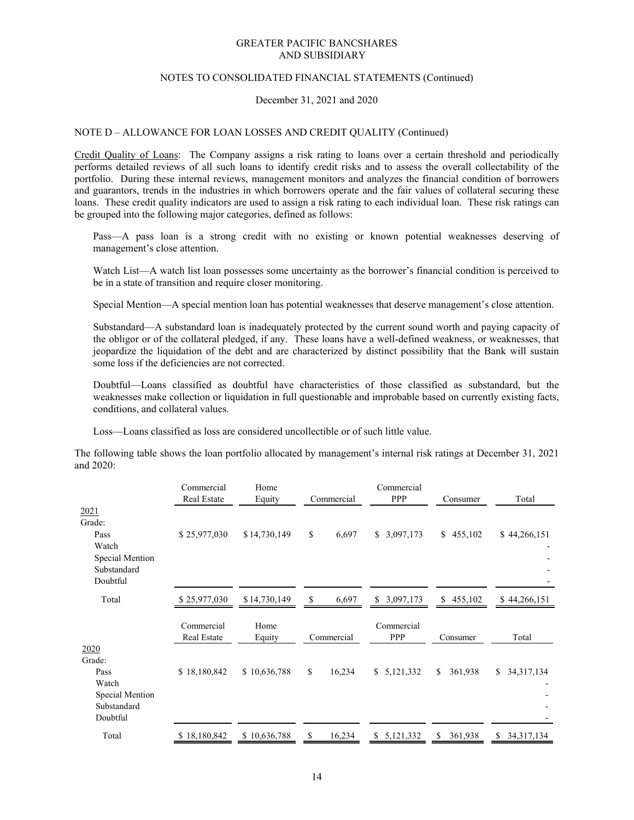## NOTES TO CONSOLIDATED FINANCIAL STATEMENTS (Continued)

## December 31, 2021 and 2020

# NOTE D – ALLOWANCE FOR LOAN LOSSES AND CREDIT QUALITY (Continued)

Credit Quality of Loans: The Company assigns a risk rating to loans over a certain threshold and periodically performs detailed reviews of all such loans to identify credit risks and to assess the overall collectability of the portfolio. During these internal reviews, management monitors and analyzes the financial condition of borrowers and guarantors, trends in the industries in which borrowers operate and the fair values of collateral securing these loans. These credit quality indicators are used to assign a risk rating to each individual loan. These risk ratings can be grouped into the following major categories, defined as follows:

Pass—A pass loan is a strong credit with no existing or known potential weaknesses deserving of management's close attention.

Watch List—A watch list loan possesses some uncertainty as the borrower's financial condition is perceived to be in a state of transition and require closer monitoring.

Special Mention—A special mention loan has potential weaknesses that deserve management's close attention.

Substandard—A substandard loan is inadequately protected by the current sound worth and paying capacity of the obligor or of the collateral pledged, if any. These loans have a well-defined weakness, or weaknesses, that jeopardize the liquidation of the debt and are characterized by distinct possibility that the Bank will sustain some loss if the deficiencies are not corrected.

Doubtful—Loans classified as doubtful have characteristics of those classified as substandard, but the weaknesses make collection or liquidation in full questionable and improbable based on currently existing facts, conditions, and collateral values.

Loss—Loans classified as loss are considered uncollectible or of such little value.

The following table shows the loan portfolio allocated by management's internal risk ratings at December 31, 2021 and 2020:

|                                                                       | Commercial<br>Real Estate        | Home<br>Equity | Commercial             | Commercial<br>PPP | Consumer                | Total                       |
|-----------------------------------------------------------------------|----------------------------------|----------------|------------------------|-------------------|-------------------------|-----------------------------|
| 2021<br>Grade:                                                        |                                  |                |                        |                   |                         |                             |
| Pass<br>Watch<br>Special Mention<br>Substandard<br>Doubtful           | \$25,977,030                     | \$14,730,149   | \$<br>6,697            | \$3,097,173       | 455,102<br>\$           | \$44,266,151                |
| Total                                                                 | \$25,977,030                     | \$14,730,149   | \$<br>6,697            | \$<br>3,097,173   | $\mathbb{S}$<br>455,102 | \$44,266,151                |
| 2020                                                                  | Commercial<br><b>Real Estate</b> | Home<br>Equity | Commercial             | Commercial<br>PPP | Consumer                | Total                       |
| Grade:<br>Pass<br>Watch<br>Special Mention<br>Substandard<br>Doubtful | \$18,180,842                     | \$10,636,788   | $\mathbb{S}$<br>16,234 | 5,121,332<br>S.   | 361,938<br>\$           | 34,317,134<br><sup>\$</sup> |
| Total                                                                 | 18,180,842<br>S                  | \$10,636,788   | \$<br>16,234           | 5,121,332<br>S    | 361,938<br>\$           | 34, 317, 134<br>S           |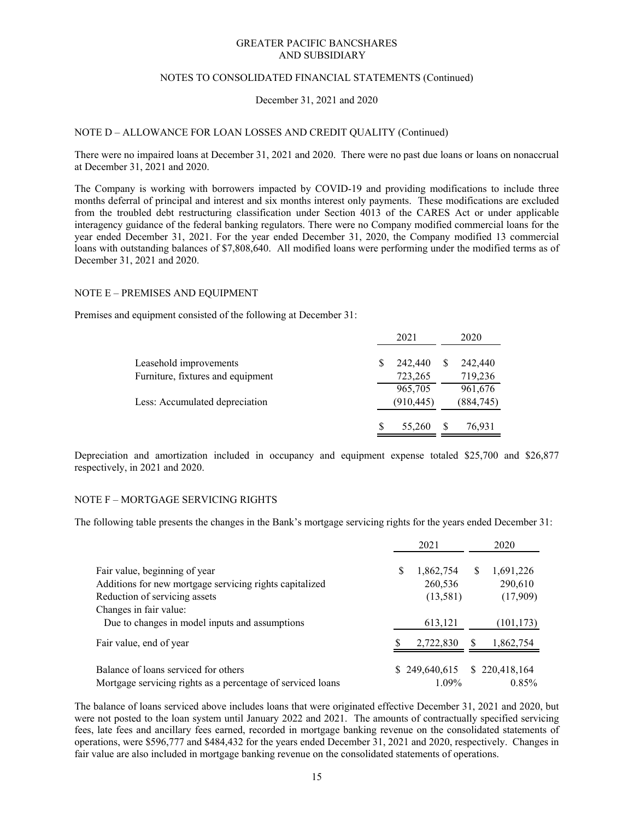# NOTES TO CONSOLIDATED FINANCIAL STATEMENTS (Continued)

# December 31, 2021 and 2020

#### NOTE D – ALLOWANCE FOR LOAN LOSSES AND CREDIT QUALITY (Continued)

There were no impaired loans at December 31, 2021 and 2020. There were no past due loans or loans on nonaccrual at December 31, 2021 and 2020.

The Company is working with borrowers impacted by COVID-19 and providing modifications to include three months deferral of principal and interest and six months interest only payments. These modifications are excluded from the troubled debt restructuring classification under Section 4013 of the CARES Act or under applicable interagency guidance of the federal banking regulators. There were no Company modified commercial loans for the year ended December 31, 2021. For the year ended December 31, 2020, the Company modified 13 commercial loans with outstanding balances of \$7,808,640. All modified loans were performing under the modified terms as of December 31, 2021 and 2020.

### NOTE E – PREMISES AND EQUIPMENT

Premises and equipment consisted of the following at December 31:

|                                                             |   | 2021                  | 2020                  |
|-------------------------------------------------------------|---|-----------------------|-----------------------|
| Leasehold improvements<br>Furniture, fixtures and equipment | S | 242,440<br>723,265    | 242,440<br>719,236    |
| Less: Accumulated depreciation                              |   | 965,705<br>(910, 445) | 961,676<br>(884, 745) |
|                                                             | S | 55,260                | 76,931                |

Depreciation and amortization included in occupancy and equipment expense totaled \$25,700 and \$26,877 respectively, in 2021 and 2020.

#### NOTE F – MORTGAGE SERVICING RIGHTS

The following table presents the changes in the Bank's mortgage servicing rights for the years ended December 31:

|                                                             |  | 2021          | 2020 |               |  |
|-------------------------------------------------------------|--|---------------|------|---------------|--|
| Fair value, beginning of year                               |  | 1,862,754     | S    | 1,691,226     |  |
| Additions for new mortgage servicing rights capitalized     |  | 260,536       |      | 290,610       |  |
| Reduction of servicing assets                               |  | (13,581)      |      | (17,909)      |  |
| Changes in fair value:                                      |  |               |      |               |  |
| Due to changes in model inputs and assumptions              |  | 613,121       |      | (101, 173)    |  |
| Fair value, end of year                                     |  | 2,722,830     | S    | 1,862,754     |  |
| Balance of loans serviced for others                        |  | \$249,640,615 |      | \$220,418,164 |  |
| Mortgage servicing rights as a percentage of serviced loans |  | $1.09\%$      |      | $0.85\%$      |  |

The balance of loans serviced above includes loans that were originated effective December 31, 2021 and 2020, but were not posted to the loan system until January 2022 and 2021. The amounts of contractually specified servicing fees, late fees and ancillary fees earned, recorded in mortgage banking revenue on the consolidated statements of operations, were \$596,777 and \$484,432 for the years ended December 31, 2021 and 2020, respectively. Changes in fair value are also included in mortgage banking revenue on the consolidated statements of operations.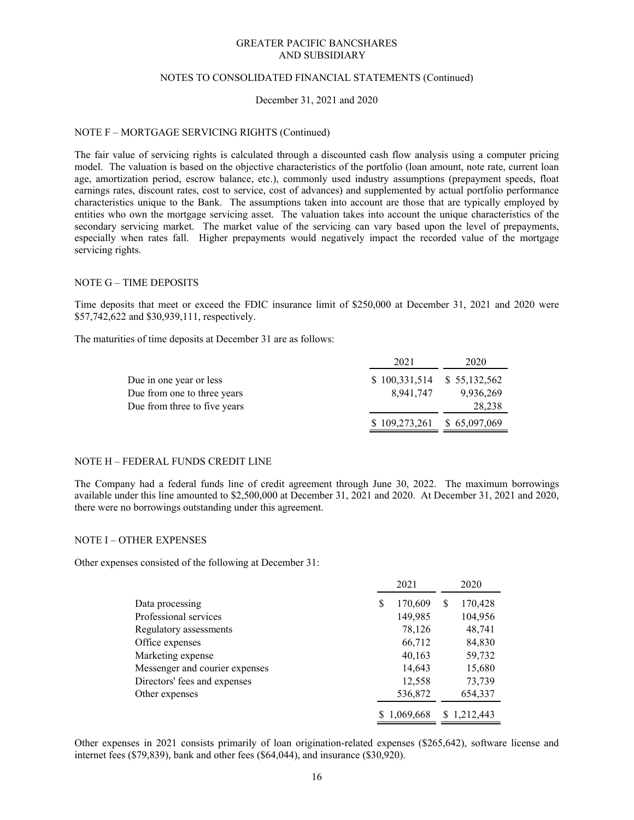# NOTES TO CONSOLIDATED FINANCIAL STATEMENTS (Continued)

# December 31, 2021 and 2020

#### NOTE F – MORTGAGE SERVICING RIGHTS (Continued)

The fair value of servicing rights is calculated through a discounted cash flow analysis using a computer pricing model. The valuation is based on the objective characteristics of the portfolio (loan amount, note rate, current loan age, amortization period, escrow balance, etc.), commonly used industry assumptions (prepayment speeds, float earnings rates, discount rates, cost to service, cost of advances) and supplemented by actual portfolio performance characteristics unique to the Bank. The assumptions taken into account are those that are typically employed by entities who own the mortgage servicing asset. The valuation takes into account the unique characteristics of the secondary servicing market. The market value of the servicing can vary based upon the level of prepayments, especially when rates fall. Higher prepayments would negatively impact the recorded value of the mortgage servicing rights.

#### NOTE G – TIME DEPOSITS

Time deposits that meet or exceed the FDIC insurance limit of \$250,000 at December 31, 2021 and 2020 were \$57,742,622 and \$30,939,111, respectively.

The maturities of time deposits at December 31 are as follows:

|                              | 2021                         | 2020      |  |  |
|------------------------------|------------------------------|-----------|--|--|
| Due in one year or less      | $$100,331,514$ $$55,132,562$ |           |  |  |
| Due from one to three years  | 8.941.747                    | 9,936,269 |  |  |
| Due from three to five years |                              | 28,238    |  |  |
|                              | $$109,273,261$ $$65,097,069$ |           |  |  |

#### NOTE H – FEDERAL FUNDS CREDIT LINE

The Company had a federal funds line of credit agreement through June 30, 2022. The maximum borrowings available under this line amounted to \$2,500,000 at December 31, 2021 and 2020. At December 31, 2021 and 2020, there were no borrowings outstanding under this agreement.

#### NOTE I – OTHER EXPENSES

Other expenses consisted of the following at December 31:

|                                | 2021 |           |   | 2020      |  |
|--------------------------------|------|-----------|---|-----------|--|
| Data processing                | \$   | 170,609   | S | 170,428   |  |
| Professional services          |      | 149,985   |   | 104,956   |  |
| Regulatory assessments         |      | 78,126    |   | 48,741    |  |
| Office expenses                |      | 66,712    |   | 84,830    |  |
| Marketing expense              |      | 40,163    |   | 59,732    |  |
| Messenger and courier expenses |      | 14,643    |   | 15,680    |  |
| Directors' fees and expenses   |      | 12,558    |   | 73,739    |  |
| Other expenses                 |      | 536,872   |   | 654,337   |  |
|                                |      | 1,069,668 |   | 1,212,443 |  |

Other expenses in 2021 consists primarily of loan origination-related expenses (\$265,642), software license and internet fees (\$79,839), bank and other fees (\$64,044), and insurance (\$30,920).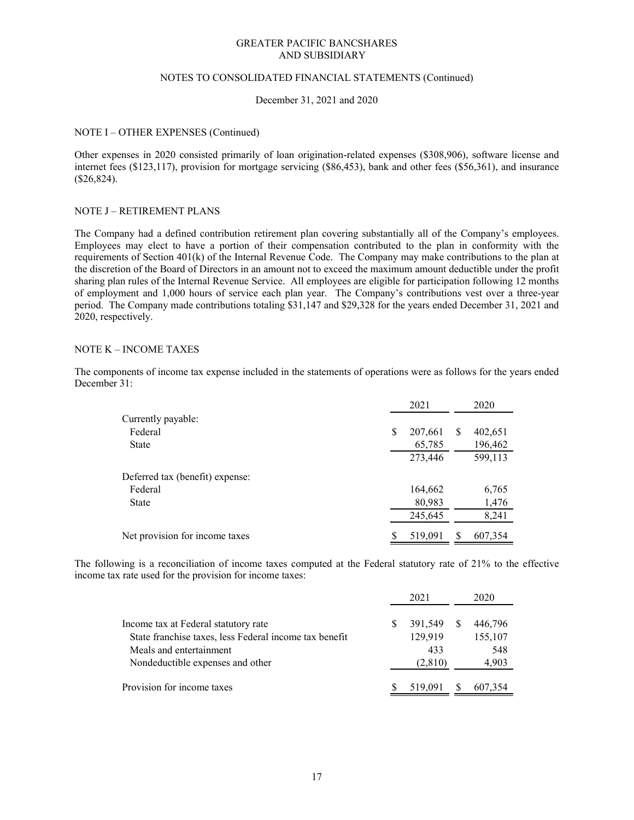#### NOTES TO CONSOLIDATED FINANCIAL STATEMENTS (Continued)

## December 31, 2021 and 2020

#### NOTE I – OTHER EXPENSES (Continued)

Other expenses in 2020 consisted primarily of loan origination-related expenses (\$308,906), software license and internet fees (\$123,117), provision for mortgage servicing (\$86,453), bank and other fees (\$56,361), and insurance (\$26,824).

#### NOTE J – RETIREMENT PLANS

The Company had a defined contribution retirement plan covering substantially all of the Company's employees. Employees may elect to have a portion of their compensation contributed to the plan in conformity with the requirements of Section 401(k) of the Internal Revenue Code. The Company may make contributions to the plan at the discretion of the Board of Directors in an amount not to exceed the maximum amount deductible under the profit sharing plan rules of the Internal Revenue Service. All employees are eligible for participation following 12 months of employment and 1,000 hours of service each plan year. The Company's contributions vest over a three-year period. The Company made contributions totaling \$31,147 and \$29,328 for the years ended December 31, 2021 and 2020, respectively.

#### NOTE K – INCOME TAXES

The components of income tax expense included in the statements of operations were as follows for the years ended December 31:

|                                 | 2021          |   | 2020    |
|---------------------------------|---------------|---|---------|
| Currently payable:              |               |   |         |
| Federal                         | \$<br>207,661 | S | 402,651 |
| <b>State</b>                    | 65,785        |   | 196,462 |
|                                 | 273,446       |   | 599,113 |
| Deferred tax (benefit) expense: |               |   |         |
| Federal                         | 164,662       |   | 6,765   |
| <b>State</b>                    | 80,983        |   | 1,476   |
|                                 | 245,645       |   | 8,241   |
| Net provision for income taxes  | \$<br>519,091 | S | 607,354 |

The following is a reconciliation of income taxes computed at the Federal statutory rate of 21% to the effective income tax rate used for the provision for income taxes:

|                                                        | 2021 |         | 2020 |         |
|--------------------------------------------------------|------|---------|------|---------|
| Income tax at Federal statutory rate                   | S    | 391,549 | S    | 446.796 |
| State franchise taxes, less Federal income tax benefit |      | 129,919 |      | 155,107 |
| Meals and entertainment                                |      | 433     |      | 548     |
| Nondeductible expenses and other                       |      | (2,810) |      | 4,903   |
| Provision for income taxes                             |      | 519,091 |      | 607,354 |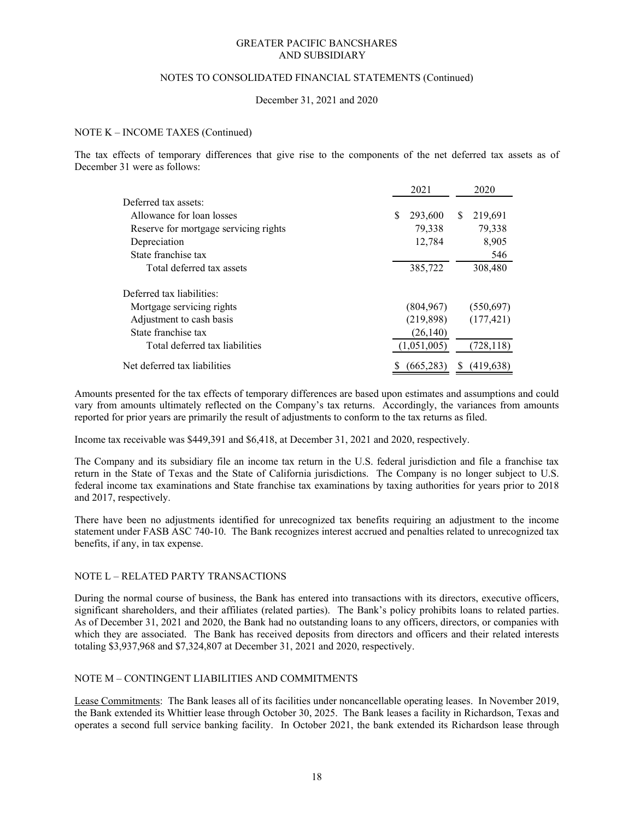# NOTES TO CONSOLIDATED FINANCIAL STATEMENTS (Continued)

#### December 31, 2021 and 2020

#### NOTE K – INCOME TAXES (Continued)

The tax effects of temporary differences that give rise to the components of the net deferred tax assets as of December 31 were as follows:

|                                       |    | 2021        |   | 2020       |
|---------------------------------------|----|-------------|---|------------|
| Deferred tax assets:                  |    |             |   |            |
| Allowance for loan losses             | \$ | 293,600     | S | 219,691    |
| Reserve for mortgage servicing rights |    | 79,338      |   | 79,338     |
| Depreciation                          |    | 12,784      |   | 8,905      |
| State franchise tax                   |    |             |   | 546        |
| Total deferred tax assets             |    | 385,722     |   | 308,480    |
| Deferred tax liabilities:             |    |             |   |            |
| Mortgage servicing rights             |    | (804, 967)  |   | (550,697)  |
| Adjustment to cash basis              |    | (219,898)   |   | (177, 421) |
| State franchise tax                   |    | (26, 140)   |   |            |
| Total deferred tax liabilities        |    | (1,051,005) |   | (728, 118) |
| Net deferred tax liabilities          | S  | (665, 283)  | S | (419, 638) |

Amounts presented for the tax effects of temporary differences are based upon estimates and assumptions and could vary from amounts ultimately reflected on the Company's tax returns. Accordingly, the variances from amounts reported for prior years are primarily the result of adjustments to conform to the tax returns as filed.

Income tax receivable was \$449,391 and \$6,418, at December 31, 2021 and 2020, respectively.

The Company and its subsidiary file an income tax return in the U.S. federal jurisdiction and file a franchise tax return in the State of Texas and the State of California jurisdictions. The Company is no longer subject to U.S. federal income tax examinations and State franchise tax examinations by taxing authorities for years prior to 2018 and 2017, respectively.

There have been no adjustments identified for unrecognized tax benefits requiring an adjustment to the income statement under FASB ASC 740-10. The Bank recognizes interest accrued and penalties related to unrecognized tax benefits, if any, in tax expense.

#### NOTE L – RELATED PARTY TRANSACTIONS

During the normal course of business, the Bank has entered into transactions with its directors, executive officers, significant shareholders, and their affiliates (related parties). The Bank's policy prohibits loans to related parties. As of December 31, 2021 and 2020, the Bank had no outstanding loans to any officers, directors, or companies with which they are associated. The Bank has received deposits from directors and officers and their related interests totaling \$3,937,968 and \$7,324,807 at December 31, 2021 and 2020, respectively.

# NOTE M – CONTINGENT LIABILITIES AND COMMITMENTS

Lease Commitments: The Bank leases all of its facilities under noncancellable operating leases. In November 2019, the Bank extended its Whittier lease through October 30, 2025. The Bank leases a facility in Richardson, Texas and operates a second full service banking facility. In October 2021, the bank extended its Richardson lease through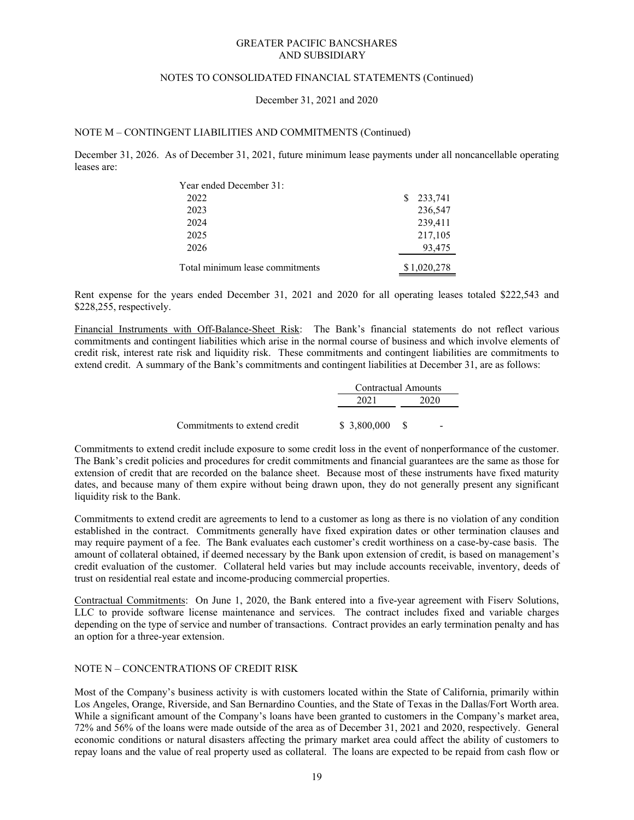# NOTES TO CONSOLIDATED FINANCIAL STATEMENTS (Continued)

### December 31, 2021 and 2020

#### NOTE M – CONTINGENT LIABILITIES AND COMMITMENTS (Continued)

December 31, 2026. As of December 31, 2021, future minimum lease payments under all noncancellable operating leases are:

| Year ended December 31:         |   |             |
|---------------------------------|---|-------------|
| 2022                            | S | 233,741     |
| 2023                            |   | 236,547     |
| 2024                            |   | 239,411     |
| 2025                            |   | 217,105     |
| 2026                            |   | 93,475      |
| Total minimum lease commitments |   | \$1,020,278 |

Rent expense for the years ended December 31, 2021 and 2020 for all operating leases totaled \$222,543 and \$228,255, respectively.

Financial Instruments with Off-Balance-Sheet Risk: The Bank's financial statements do not reflect various commitments and contingent liabilities which arise in the normal course of business and which involve elements of credit risk, interest rate risk and liquidity risk. These commitments and contingent liabilities are commitments to extend credit. A summary of the Bank's commitments and contingent liabilities at December 31, are as follows:

|                              | <b>Contractual Amounts</b> |  |      |  |
|------------------------------|----------------------------|--|------|--|
|                              | 2021                       |  | 2020 |  |
|                              |                            |  |      |  |
| Commitments to extend credit | \$ 3,800,000               |  |      |  |

Commitments to extend credit include exposure to some credit loss in the event of nonperformance of the customer. The Bank's credit policies and procedures for credit commitments and financial guarantees are the same as those for extension of credit that are recorded on the balance sheet. Because most of these instruments have fixed maturity dates, and because many of them expire without being drawn upon, they do not generally present any significant liquidity risk to the Bank.

Commitments to extend credit are agreements to lend to a customer as long as there is no violation of any condition established in the contract. Commitments generally have fixed expiration dates or other termination clauses and may require payment of a fee. The Bank evaluates each customer's credit worthiness on a case-by-case basis. The amount of collateral obtained, if deemed necessary by the Bank upon extension of credit, is based on management's credit evaluation of the customer. Collateral held varies but may include accounts receivable, inventory, deeds of trust on residential real estate and income-producing commercial properties.

Contractual Commitments: On June 1, 2020, the Bank entered into a five-year agreement with Fiserv Solutions, LLC to provide software license maintenance and services. The contract includes fixed and variable charges depending on the type of service and number of transactions. Contract provides an early termination penalty and has an option for a three-year extension.

# NOTE N – CONCENTRATIONS OF CREDIT RISK

Most of the Company's business activity is with customers located within the State of California, primarily within Los Angeles, Orange, Riverside, and San Bernardino Counties, and the State of Texas in the Dallas/Fort Worth area. While a significant amount of the Company's loans have been granted to customers in the Company's market area, 72% and 56% of the loans were made outside of the area as of December 31, 2021 and 2020, respectively. General economic conditions or natural disasters affecting the primary market area could affect the ability of customers to repay loans and the value of real property used as collateral. The loans are expected to be repaid from cash flow or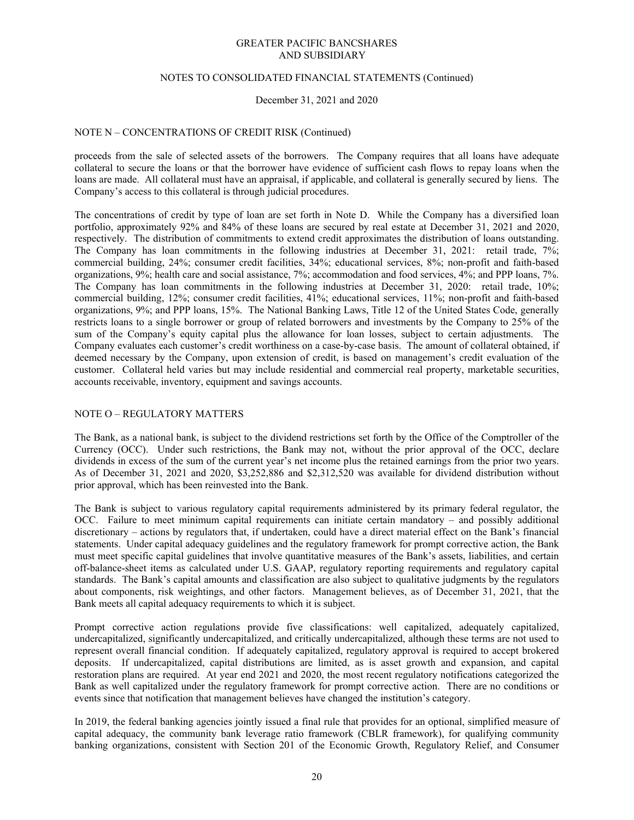# NOTES TO CONSOLIDATED FINANCIAL STATEMENTS (Continued)

# December 31, 2021 and 2020

#### NOTE N – CONCENTRATIONS OF CREDIT RISK (Continued)

proceeds from the sale of selected assets of the borrowers. The Company requires that all loans have adequate collateral to secure the loans or that the borrower have evidence of sufficient cash flows to repay loans when the loans are made. All collateral must have an appraisal, if applicable, and collateral is generally secured by liens. The Company's access to this collateral is through judicial procedures.

The concentrations of credit by type of loan are set forth in Note D. While the Company has a diversified loan portfolio, approximately 92% and 84% of these loans are secured by real estate at December 31, 2021 and 2020, respectively. The distribution of commitments to extend credit approximates the distribution of loans outstanding. The Company has loan commitments in the following industries at December 31, 2021: retail trade, 7%; commercial building, 24%; consumer credit facilities, 34%; educational services, 8%; non-profit and faith-based organizations, 9%; health care and social assistance, 7%; accommodation and food services, 4%; and PPP loans, 7%. The Company has loan commitments in the following industries at December 31, 2020: retail trade, 10%; commercial building, 12%; consumer credit facilities, 41%; educational services, 11%; non-profit and faith-based organizations, 9%; and PPP loans, 15%. The National Banking Laws, Title 12 of the United States Code, generally restricts loans to a single borrower or group of related borrowers and investments by the Company to 25% of the sum of the Company's equity capital plus the allowance for loan losses, subject to certain adjustments. The Company evaluates each customer's credit worthiness on a case-by-case basis. The amount of collateral obtained, if deemed necessary by the Company, upon extension of credit, is based on management's credit evaluation of the customer. Collateral held varies but may include residential and commercial real property, marketable securities, accounts receivable, inventory, equipment and savings accounts.

#### NOTE O – REGULATORY MATTERS

The Bank, as a national bank, is subject to the dividend restrictions set forth by the Office of the Comptroller of the Currency (OCC). Under such restrictions, the Bank may not, without the prior approval of the OCC, declare dividends in excess of the sum of the current year's net income plus the retained earnings from the prior two years. As of December 31, 2021 and 2020, \$3,252,886 and \$2,312,520 was available for dividend distribution without prior approval, which has been reinvested into the Bank.

The Bank is subject to various regulatory capital requirements administered by its primary federal regulator, the OCC. Failure to meet minimum capital requirements can initiate certain mandatory – and possibly additional discretionary – actions by regulators that, if undertaken, could have a direct material effect on the Bank's financial statements. Under capital adequacy guidelines and the regulatory framework for prompt corrective action, the Bank must meet specific capital guidelines that involve quantitative measures of the Bank's assets, liabilities, and certain off-balance-sheet items as calculated under U.S. GAAP, regulatory reporting requirements and regulatory capital standards. The Bank's capital amounts and classification are also subject to qualitative judgments by the regulators about components, risk weightings, and other factors. Management believes, as of December 31, 2021, that the Bank meets all capital adequacy requirements to which it is subject.

Prompt corrective action regulations provide five classifications: well capitalized, adequately capitalized, undercapitalized, significantly undercapitalized, and critically undercapitalized, although these terms are not used to represent overall financial condition. If adequately capitalized, regulatory approval is required to accept brokered deposits. If undercapitalized, capital distributions are limited, as is asset growth and expansion, and capital restoration plans are required. At year end 2021 and 2020, the most recent regulatory notifications categorized the Bank as well capitalized under the regulatory framework for prompt corrective action. There are no conditions or events since that notification that management believes have changed the institution's category.

In 2019, the federal banking agencies jointly issued a final rule that provides for an optional, simplified measure of capital adequacy, the community bank leverage ratio framework (CBLR framework), for qualifying community banking organizations, consistent with Section 201 of the Economic Growth, Regulatory Relief, and Consumer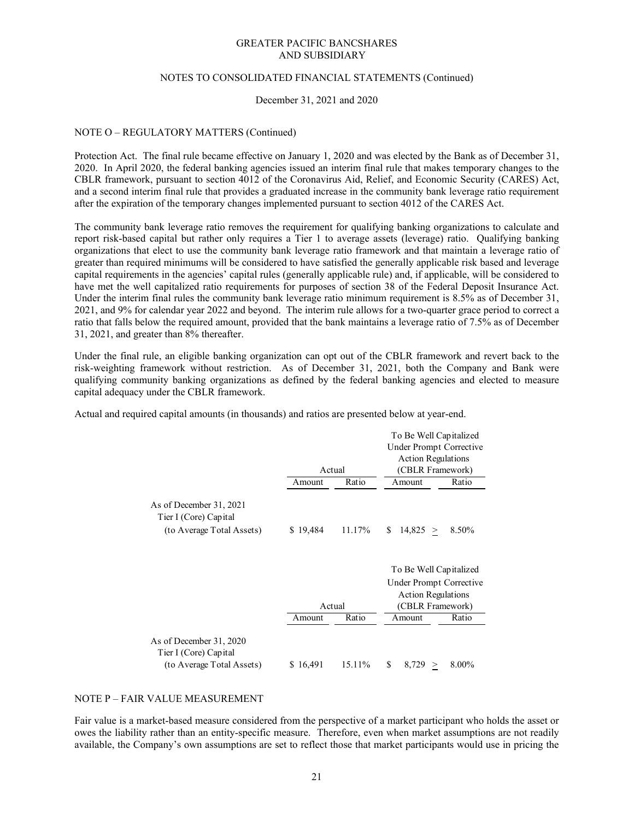# NOTES TO CONSOLIDATED FINANCIAL STATEMENTS (Continued)

# December 31, 2021 and 2020

#### NOTE O – REGULATORY MATTERS (Continued)

Protection Act. The final rule became effective on January 1, 2020 and was elected by the Bank as of December 31, 2020. In April 2020, the federal banking agencies issued an interim final rule that makes temporary changes to the CBLR framework, pursuant to section 4012 of the Coronavirus Aid, Relief, and Economic Security (CARES) Act, and a second interim final rule that provides a graduated increase in the community bank leverage ratio requirement after the expiration of the temporary changes implemented pursuant to section 4012 of the CARES Act.

The community bank leverage ratio removes the requirement for qualifying banking organizations to calculate and report risk-based capital but rather only requires a Tier 1 to average assets (leverage) ratio. Qualifying banking organizations that elect to use the community bank leverage ratio framework and that maintain a leverage ratio of greater than required minimums will be considered to have satisfied the generally applicable risk based and leverage capital requirements in the agencies' capital rules (generally applicable rule) and, if applicable, will be considered to have met the well capitalized ratio requirements for purposes of section 38 of the Federal Deposit Insurance Act. Under the interim final rules the community bank leverage ratio minimum requirement is 8.5% as of December 31, 2021, and 9% for calendar year 2022 and beyond. The interim rule allows for a two-quarter grace period to correct a ratio that falls below the required amount, provided that the bank maintains a leverage ratio of 7.5% as of December 31, 2021, and greater than 8% thereafter.

Under the final rule, an eligible banking organization can opt out of the CBLR framework and revert back to the risk-weighting framework without restriction. As of December 31, 2021, both the Company and Bank were qualifying community banking organizations as defined by the federal banking agencies and elected to measure capital adequacy under the CBLR framework.

Actual and required capital amounts (in thousands) and ratios are presented below at year-end.

|                                                  |          |        | To Be Well Capitalized    |       |
|--------------------------------------------------|----------|--------|---------------------------|-------|
|                                                  |          |        | Under Prompt Corrective   |       |
|                                                  |          |        | <b>Action Regulations</b> |       |
|                                                  |          | Actual | (CBLR Framework)          |       |
|                                                  | Amount   | Ratio  | Amount                    | Ratio |
| As of December 31, 2021<br>Tier I (Core) Capital |          |        |                           |       |
| (to Average Total Assets)                        | \$19,484 | 11.17% | \$<br>14,825 >            | 8.50% |
|                                                  |          |        |                           |       |
|                                                  |          |        | To Be Well Capitalized    |       |
|                                                  |          |        | Under Prompt Corrective   |       |
|                                                  |          |        | <b>Action Regulations</b> |       |
|                                                  | Actual   |        | (CBLR Framework)          |       |
|                                                  | Amount   | Ratio  | Amount                    | Ratio |
| As of December 31, 2020<br>Tier I (Core) Capital |          |        |                           |       |
| (to Average Total Assets)                        | \$16,491 | 15.11% | \$<br>$8,729$ >           | 8.00% |

#### NOTE P – FAIR VALUE MEASUREMENT

Fair value is a market-based measure considered from the perspective of a market participant who holds the asset or owes the liability rather than an entity-specific measure. Therefore, even when market assumptions are not readily available, the Company's own assumptions are set to reflect those that market participants would use in pricing the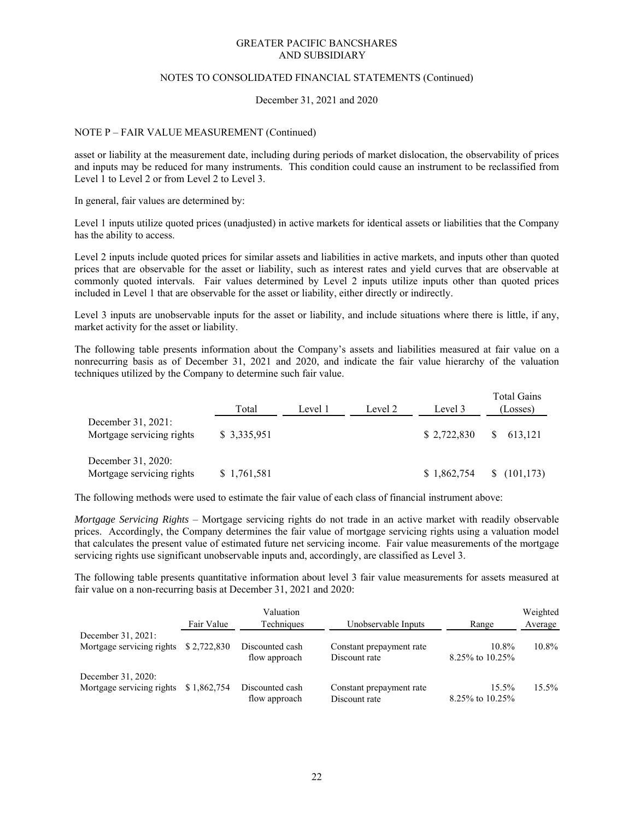# NOTES TO CONSOLIDATED FINANCIAL STATEMENTS (Continued)

# December 31, 2021 and 2020

#### NOTE P – FAIR VALUE MEASUREMENT (Continued)

asset or liability at the measurement date, including during periods of market dislocation, the observability of prices and inputs may be reduced for many instruments. This condition could cause an instrument to be reclassified from Level 1 to Level 2 or from Level 2 to Level 3.

In general, fair values are determined by:

Level 1 inputs utilize quoted prices (unadjusted) in active markets for identical assets or liabilities that the Company has the ability to access.

Level 2 inputs include quoted prices for similar assets and liabilities in active markets, and inputs other than quoted prices that are observable for the asset or liability, such as interest rates and yield curves that are observable at commonly quoted intervals. Fair values determined by Level 2 inputs utilize inputs other than quoted prices included in Level 1 that are observable for the asset or liability, either directly or indirectly.

Level 3 inputs are unobservable inputs for the asset or liability, and include situations where there is little, if any, market activity for the asset or liability.

The following table presents information about the Company's assets and liabilities measured at fair value on a nonrecurring basis as of December 31, 2021 and 2020, and indicate the fair value hierarchy of the valuation techniques utilized by the Company to determine such fair value.

|                                                 | Total       | Level 1 | Level 2 | Level 3     | <b>Total Gains</b><br>(Losses) |
|-------------------------------------------------|-------------|---------|---------|-------------|--------------------------------|
| December 31, 2021:<br>Mortgage servicing rights | \$3,335,951 |         |         | \$2,722,830 | 613.121<br>S.                  |
| December 31, 2020:<br>Mortgage servicing rights | \$1,761,581 |         |         | \$1,862,754 | \$<br>(101, 173)               |

The following methods were used to estimate the fair value of each class of financial instrument above:

*Mortgage Servicing Rights* – Mortgage servicing rights do not trade in an active market with readily observable prices. Accordingly, the Company determines the fair value of mortgage servicing rights using a valuation model that calculates the present value of estimated future net servicing income. Fair value measurements of the mortgage servicing rights use significant unobservable inputs and, accordingly, are classified as Level 3.

The following table presents quantitative information about level 3 fair value measurements for assets measured at fair value on a non-recurring basis at December 31, 2021 and 2020:

|                                                 |             | Valuation                        |                                           |                          | Weighted |
|-------------------------------------------------|-------------|----------------------------------|-------------------------------------------|--------------------------|----------|
|                                                 | Fair Value  | Techniques                       | Unobservable Inputs                       | Range                    | Average  |
| December 31, 2021:<br>Mortgage servicing rights | \$2,722,830 | Discounted cash<br>flow approach | Constant prepayment rate<br>Discount rate | 10.8%<br>8.25% to 10.25% | $10.8\%$ |
| December 31, 2020:<br>Mortgage servicing rights | \$1,862,754 | Discounted cash<br>flow approach | Constant prepayment rate<br>Discount rate | 15.5%<br>8.25% to 10.25% | $15.5\%$ |